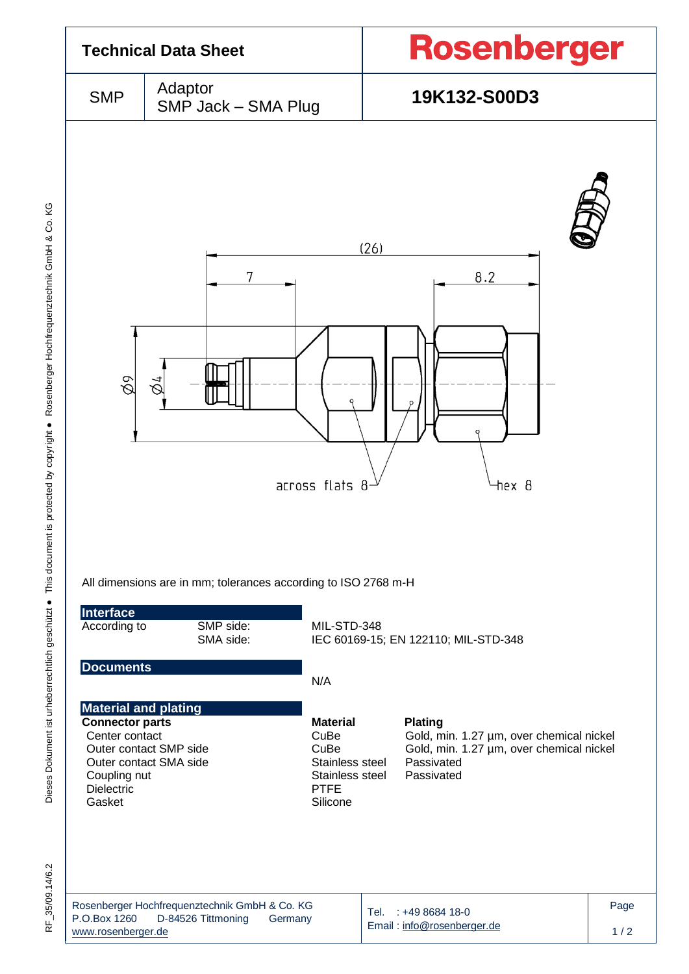

RF 35/09.14/6.2